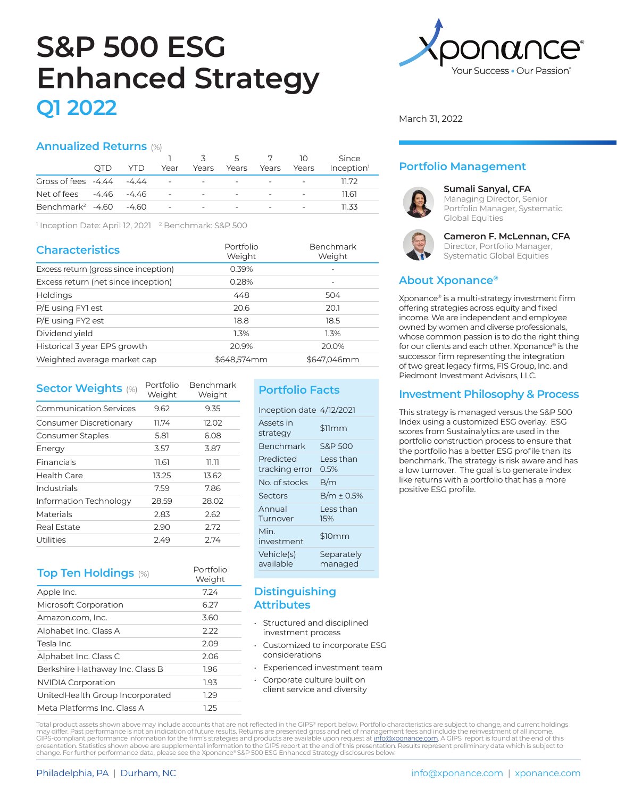# **S&P 500 ESG Enhanced Strategy Q1 2022**

### **Annualized Returns** (%)

|                                        |      |      |                                                       |                          | 5                        | 7                        | 10                       | Since                  |
|----------------------------------------|------|------|-------------------------------------------------------|--------------------------|--------------------------|--------------------------|--------------------------|------------------------|
|                                        | OTD. | YTD. | Year                                                  | Years                    | Years Years              |                          | Years                    | Inception <sup>1</sup> |
| Gross of fees $-4.44 - 4.44$           |      |      | $\mathcal{L}_{\rm{max}}$ and $\mathcal{L}_{\rm{max}}$ | $\overline{\phantom{a}}$ | $\sim$                   | $\overline{\phantom{0}}$ | $\sim$                   | 11.72                  |
| Net of fees -4.46 -4.46                |      |      | $\sim$                                                | $\overline{\phantom{a}}$ | $\overline{\phantom{0}}$ | $\overline{\phantom{0}}$ | $\sim$                   | 11.61                  |
| Benchmark <sup>2</sup> $-4.60$ $-4.60$ |      |      | $\overline{\phantom{a}}$                              | $\overline{\phantom{a}}$ |                          |                          | $\overline{\phantom{a}}$ | 11 33                  |

<sup>1</sup> Inception Date: April 12, 2021 <sup>2</sup> Benchmark: S&P 500

| <b>Characteristics</b>                | Portfolio<br>Weight | Benchmark<br>Weight |
|---------------------------------------|---------------------|---------------------|
| Excess return (gross since inception) | 0.39%               |                     |
| Excess return (net since inception)   | 0.28%               |                     |
| <b>Holdings</b>                       | 448                 | 504                 |
| P/E using FYI est                     | 20.6                | 20.1                |
| P/E using FY2 est                     | 18.8                | 18.5                |
| Dividend yield                        | 1.3%                | 1.3%                |
| Historical 3 year EPS growth          | 20.9%               | 20.0%               |
| Weighted average market cap           | \$648,574mm         | \$647.046mm         |

| <b>Sector Weights (%)</b>     | Portfolio<br>Weight | <b>Benchmark</b><br>Weight |
|-------------------------------|---------------------|----------------------------|
| <b>Communication Services</b> | 9.62                | 9.35                       |
| Consumer Discretionary        | 11.74               | 12.02                      |
| Consumer Staples              | 5.81                | 6.08                       |
| Energy                        | 3.57                | 3.87                       |
| Financials                    | 11.61               | דר.דר                      |
| Health Care                   | 13.25               | 13.62                      |
| Industrials                   | 7.59                | 7.86                       |
| Information Technology        | 28.59               | 28.02                      |
| Materials                     | 2.83                | 2.62                       |
| Real Estate                   | 2.90                | 2.72                       |
| Utilities                     | 2.49                | 2.74                       |

# **Top Ten Holdings** (%) Portfolio

|                                 | Weight |
|---------------------------------|--------|
| Apple Inc.                      | 7.24   |
| Microsoft Corporation           | 6.27   |
| Amazon.com, Inc.                | 3.60   |
| Alphabet Inc. Class A           | 2.22   |
| Tesla Inc                       | 2.09   |
| Alphabet Inc. Class C           | 2.06   |
| Berkshire Hathaway Inc. Class B | 1.96   |
| <b>NVIDIA Corporation</b>       | 1.93   |
| UnitedHealth Group Incorporated | 1.29   |
| Meta Platforms Inc. Class A     | 1.25   |

# **Portfolio Facts**

| Inception date 4/12/2021    |                       |
|-----------------------------|-----------------------|
| Assets in<br>strategy       | \$11mm                |
| Benchmark                   | S&P 500               |
| Predicted<br>tracking error | I ess than<br>$0.5\%$ |
| No. of stocks               | B/m                   |
| Sectors                     | $B/m \pm 0.5\%$       |
| Annual<br>Turnover          | I ess than<br>15%     |
| Min.<br>investment          | \$10mm                |
| Vehicle(s)<br>available     | Separately<br>managed |
|                             |                       |

## **Distinguishing Attributes**

- Structured and disciplined investment process
- Customized to incorporate ESG considerations
- Experienced investment team
- Corporate culture built on client service and diversity



March 31, 2022

# **Portfolio Management**



#### **Sumali Sanyal, CFA**

Managing Director, Senior Portfolio Manager, Systematic Global Equities



#### **Cameron F. McLennan, CFA** Director, Portfolio Manager, Systematic Global Equities

# **About Xponance®**

Xponance® is a multi-strategy investment firm offering strategies across equity and fixed income. We are independent and employee owned by women and diverse professionals, whose common passion is to do the right thing for our clients and each other. Xponance® is the successor firm representing the integration of two great legacy firms, FIS Group, Inc. and Piedmont Investment Advisors, LLC.

## **Investment Philosophy & Process**

This strategy is managed versus the S&P 500 Index using a customized ESG overlay. ESG scores from Sustainalytics are used in the portfolio construction process to ensure that the portfolio has a better ESG profile than its benchmark. The strategy is risk aware and has a low turnover. The goal is to generate index like returns with a portfolio that has a more positive ESG profile.

Total product assets shown above may include accounts that are not reflected in the GIPS® report below. Portfolio characteristics are subject to change, and current holdings may differ. Past performance is not an indication of future results. Returns are presented gross and net of management fees and include the reinvestment of all income. GIPS-compliant performance information for the firm's strategies and products are available upon request at <u>info@xponance.com</u>. A GIPS report is found at the end of this<br>presentation. Statistics shown above are supplement